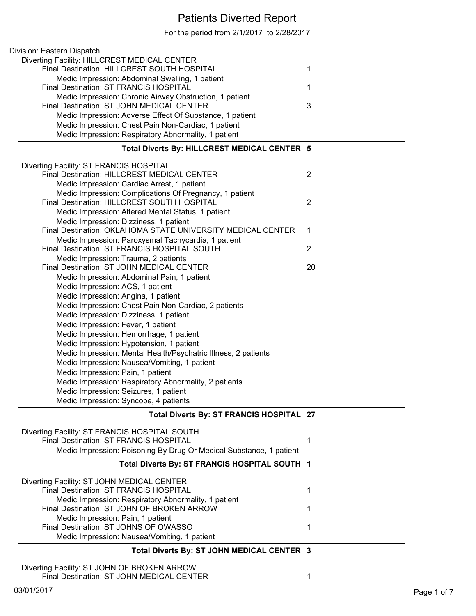## Patients Diverted Report

For the period from 2/1/2017 to 2/28/2017

| Division: Eastern Dispatch                                                           |                |
|--------------------------------------------------------------------------------------|----------------|
| Diverting Facility: HILLCREST MEDICAL CENTER                                         |                |
| Final Destination: HILLCREST SOUTH HOSPITAL                                          | 1              |
| Medic Impression: Abdominal Swelling, 1 patient                                      |                |
| Final Destination: ST FRANCIS HOSPITAL                                               | 1              |
| Medic Impression: Chronic Airway Obstruction, 1 patient                              |                |
| Final Destination: ST JOHN MEDICAL CENTER                                            | 3              |
| Medic Impression: Adverse Effect Of Substance, 1 patient                             |                |
| Medic Impression: Chest Pain Non-Cardiac, 1 patient                                  |                |
| Medic Impression: Respiratory Abnormality, 1 patient                                 |                |
|                                                                                      |                |
| Total Diverts By: HILLCREST MEDICAL CENTER 5                                         |                |
| Diverting Facility: ST FRANCIS HOSPITAL                                              |                |
| Final Destination: HILLCREST MEDICAL CENTER                                          | $\overline{2}$ |
| Medic Impression: Cardiac Arrest, 1 patient                                          |                |
| Medic Impression: Complications Of Pregnancy, 1 patient                              |                |
| Final Destination: HILLCREST SOUTH HOSPITAL                                          | 2              |
| Medic Impression: Altered Mental Status, 1 patient                                   |                |
| Medic Impression: Dizziness, 1 patient                                               |                |
| Final Destination: OKLAHOMA STATE UNIVERSITY MEDICAL CENTER                          | 1              |
| Medic Impression: Paroxysmal Tachycardia, 1 patient                                  |                |
| Final Destination: ST FRANCIS HOSPITAL SOUTH                                         | $\overline{2}$ |
| Medic Impression: Trauma, 2 patients                                                 |                |
| Final Destination: ST JOHN MEDICAL CENTER                                            | 20             |
| Medic Impression: Abdominal Pain, 1 patient                                          |                |
| Medic Impression: ACS, 1 patient                                                     |                |
| Medic Impression: Angina, 1 patient                                                  |                |
| Medic Impression: Chest Pain Non-Cardiac, 2 patients                                 |                |
| Medic Impression: Dizziness, 1 patient                                               |                |
| Medic Impression: Fever, 1 patient                                                   |                |
| Medic Impression: Hemorrhage, 1 patient                                              |                |
| Medic Impression: Hypotension, 1 patient                                             |                |
| Medic Impression: Mental Health/Psychatric Illness, 2 patients                       |                |
| Medic Impression: Nausea/Vomiting, 1 patient                                         |                |
| Medic Impression: Pain, 1 patient                                                    |                |
| Medic Impression: Respiratory Abnormality, 2 patients                                |                |
| Medic Impression: Seizures, 1 patient                                                |                |
| Medic Impression: Syncope, 4 patients                                                |                |
| Total Diverts By: ST FRANCIS HOSPITAL 27                                             |                |
|                                                                                      |                |
| Diverting Facility: ST FRANCIS HOSPITAL SOUTH                                        |                |
| Final Destination: ST FRANCIS HOSPITAL                                               | 1              |
| Medic Impression: Poisoning By Drug Or Medical Substance, 1 patient                  |                |
| Total Diverts By: ST FRANCIS HOSPITAL SOUTH 1                                        |                |
|                                                                                      |                |
| Diverting Facility: ST JOHN MEDICAL CENTER<br>Final Destination: ST FRANCIS HOSPITAL | 1              |
| Medic Impression: Respiratory Abnormality, 1 patient                                 |                |
| Final Destination: ST JOHN OF BROKEN ARROW                                           | 1              |
| Medic Impression: Pain, 1 patient                                                    |                |
| Final Destination: ST JOHNS OF OWASSO                                                | 1              |
| Medic Impression: Nausea/Vomiting, 1 patient                                         |                |
|                                                                                      |                |
| Total Diverts By: ST JOHN MEDICAL CENTER 3                                           |                |
| Diverting Facility: ST JOHN OF BROKEN ARROW                                          |                |

Final Destination: ST JOHN MEDICAL CENTER 1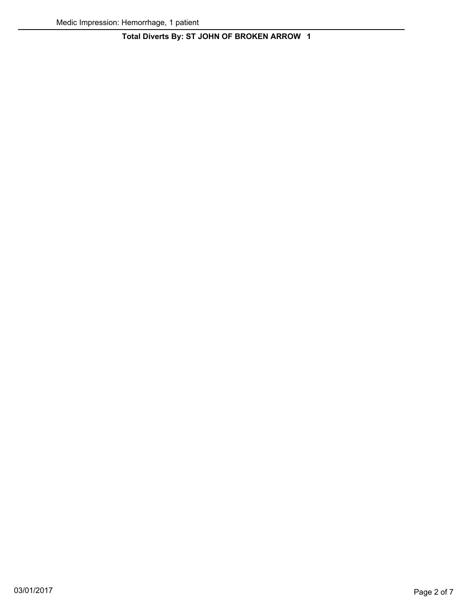## **Total Diverts By: ST JOHN OF BROKEN ARROW 1**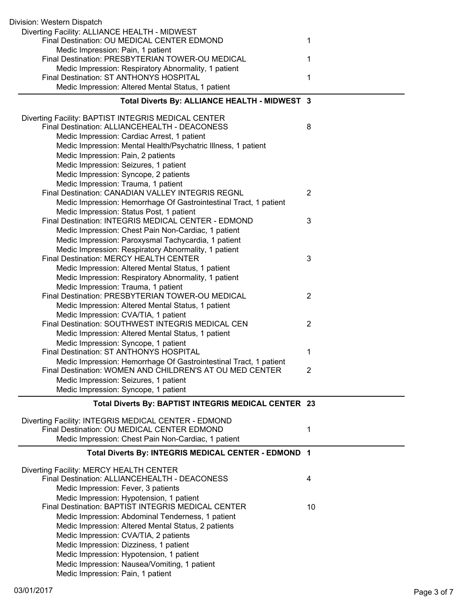| Division: Western Dispatch                                                                          |                |
|-----------------------------------------------------------------------------------------------------|----------------|
| Diverting Facility: ALLIANCE HEALTH - MIDWEST<br>Final Destination: OU MEDICAL CENTER EDMOND        | 1              |
| Medic Impression: Pain, 1 patient<br>Final Destination: PRESBYTERIAN TOWER-OU MEDICAL               | 1              |
| Medic Impression: Respiratory Abnormality, 1 patient                                                |                |
| Final Destination: ST ANTHONYS HOSPITAL                                                             | 1              |
| Medic Impression: Altered Mental Status, 1 patient                                                  |                |
| Total Diverts By: ALLIANCE HEALTH - MIDWEST 3                                                       |                |
| Diverting Facility: BAPTIST INTEGRIS MEDICAL CENTER                                                 |                |
| Final Destination: ALLIANCEHEALTH - DEACONESS                                                       | 8              |
| Medic Impression: Cardiac Arrest, 1 patient                                                         |                |
| Medic Impression: Mental Health/Psychatric Illness, 1 patient<br>Medic Impression: Pain, 2 patients |                |
| Medic Impression: Seizures, 1 patient                                                               |                |
| Medic Impression: Syncope, 2 patients                                                               |                |
| Medic Impression: Trauma, 1 patient                                                                 |                |
| <b>Final Destination: CANADIAN VALLEY INTEGRIS REGNL</b>                                            | $\overline{2}$ |
| Medic Impression: Hemorrhage Of Gastrointestinal Tract, 1 patient                                   |                |
| Medic Impression: Status Post, 1 patient                                                            |                |
| Final Destination: INTEGRIS MEDICAL CENTER - EDMOND                                                 | 3              |
| Medic Impression: Chest Pain Non-Cardiac, 1 patient                                                 |                |
| Medic Impression: Paroxysmal Tachycardia, 1 patient                                                 |                |
| Medic Impression: Respiratory Abnormality, 1 patient                                                |                |
| Final Destination: MERCY HEALTH CENTER                                                              | 3              |
| Medic Impression: Altered Mental Status, 1 patient                                                  |                |
| Medic Impression: Respiratory Abnormality, 1 patient                                                |                |
| Medic Impression: Trauma, 1 patient                                                                 |                |
| Final Destination: PRESBYTERIAN TOWER-OU MEDICAL                                                    | $\overline{2}$ |
| Medic Impression: Altered Mental Status, 1 patient<br>Medic Impression: CVA/TIA, 1 patient          |                |
| Final Destination: SOUTHWEST INTEGRIS MEDICAL CEN                                                   | $\overline{2}$ |
| Medic Impression: Altered Mental Status, 1 patient                                                  |                |
| Medic Impression: Syncope, 1 patient                                                                |                |
| Final Destination: ST ANTHONYS HOSPITAL                                                             | 1              |
| Medic Impression: Hemorrhage Of Gastrointestinal Tract, 1 patient                                   |                |
| Final Destination: WOMEN AND CHILDREN'S AT OU MED CENTER                                            | $\overline{2}$ |
| Medic Impression: Seizures, 1 patient                                                               |                |
| Medic Impression: Syncope, 1 patient                                                                |                |
| Total Diverts By: BAPTIST INTEGRIS MEDICAL CENTER 23                                                |                |
| Diverting Facility: INTEGRIS MEDICAL CENTER - EDMOND                                                |                |
| Final Destination: OU MEDICAL CENTER EDMOND                                                         | 1              |
| Medic Impression: Chest Pain Non-Cardiac, 1 patient                                                 |                |
| Total Diverts By: INTEGRIS MEDICAL CENTER - EDMOND 1                                                |                |
| Diverting Facility: MERCY HEALTH CENTER                                                             |                |
| Final Destination: ALLIANCEHEALTH - DEACONESS                                                       | 4              |
| Medic Impression: Fever, 3 patients                                                                 |                |
| Medic Impression: Hypotension, 1 patient                                                            |                |
| Final Destination: BAPTIST INTEGRIS MEDICAL CENTER                                                  | 10             |
| Medic Impression: Abdominal Tenderness, 1 patient                                                   |                |
| Medic Impression: Altered Mental Status, 2 patients                                                 |                |
| Medic Impression: CVA/TIA, 2 patients                                                               |                |
| Medic Impression: Dizziness, 1 patient                                                              |                |
| Medic Impression: Hypotension, 1 patient                                                            |                |
| Medic Impression: Nausea/Vomiting, 1 patient                                                        |                |
| Medic Impression: Pain, 1 patient                                                                   |                |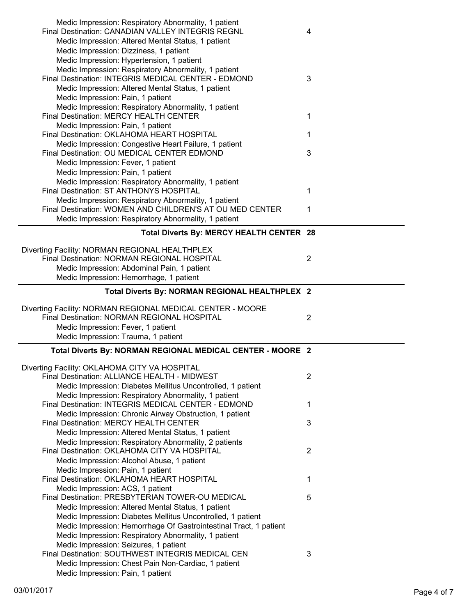| Medic Impression: Respiratory Abnormality, 1 patient<br><b>Final Destination: CANADIAN VALLEY INTEGRIS REGNL</b> | 4              |
|------------------------------------------------------------------------------------------------------------------|----------------|
| Medic Impression: Altered Mental Status, 1 patient                                                               |                |
| Medic Impression: Dizziness, 1 patient                                                                           |                |
| Medic Impression: Hypertension, 1 patient                                                                        |                |
| Medic Impression: Respiratory Abnormality, 1 patient                                                             |                |
| Final Destination: INTEGRIS MEDICAL CENTER - EDMOND                                                              | 3              |
| Medic Impression: Altered Mental Status, 1 patient                                                               |                |
| Medic Impression: Pain, 1 patient                                                                                |                |
| Medic Impression: Respiratory Abnormality, 1 patient<br>Final Destination: MERCY HEALTH CENTER                   |                |
| Medic Impression: Pain, 1 patient                                                                                | 1              |
| Final Destination: OKLAHOMA HEART HOSPITAL                                                                       | 1              |
| Medic Impression: Congestive Heart Failure, 1 patient                                                            |                |
| Final Destination: OU MEDICAL CENTER EDMOND                                                                      | 3              |
| Medic Impression: Fever, 1 patient                                                                               |                |
| Medic Impression: Pain, 1 patient                                                                                |                |
| Medic Impression: Respiratory Abnormality, 1 patient                                                             |                |
| Final Destination: ST ANTHONYS HOSPITAL                                                                          | 1              |
| Medic Impression: Respiratory Abnormality, 1 patient                                                             |                |
| Final Destination: WOMEN AND CHILDREN'S AT OU MED CENTER                                                         | 1              |
| Medic Impression: Respiratory Abnormality, 1 patient                                                             |                |
| Total Diverts By: MERCY HEALTH CENTER 28                                                                         |                |
| Diverting Facility: NORMAN REGIONAL HEALTHPLEX                                                                   |                |
| Final Destination: NORMAN REGIONAL HOSPITAL                                                                      | $\overline{2}$ |
| Medic Impression: Abdominal Pain, 1 patient                                                                      |                |
| Medic Impression: Hemorrhage, 1 patient                                                                          |                |
| Total Diverts By: NORMAN REGIONAL HEALTHPLEX 2                                                                   |                |
|                                                                                                                  |                |
|                                                                                                                  |                |
| Diverting Facility: NORMAN REGIONAL MEDICAL CENTER - MOORE                                                       |                |
| Final Destination: NORMAN REGIONAL HOSPITAL                                                                      | $\overline{2}$ |
| Medic Impression: Fever, 1 patient                                                                               |                |
| Medic Impression: Trauma, 1 patient                                                                              |                |
| Total Diverts By: NORMAN REGIONAL MEDICAL CENTER - MOORE 2                                                       |                |
| Diverting Facility: OKLAHOMA CITY VA HOSPITAL                                                                    |                |
| Final Destination: ALLIANCE HEALTH - MIDWEST                                                                     | $\overline{2}$ |
| Medic Impression: Diabetes Mellitus Uncontrolled, 1 patient                                                      |                |
| Medic Impression: Respiratory Abnormality, 1 patient                                                             |                |
| Final Destination: INTEGRIS MEDICAL CENTER - EDMOND                                                              | 1              |
| Medic Impression: Chronic Airway Obstruction, 1 patient                                                          |                |
| <b>Final Destination: MERCY HEALTH CENTER</b>                                                                    | 3              |
| Medic Impression: Altered Mental Status, 1 patient                                                               |                |
| Medic Impression: Respiratory Abnormality, 2 patients<br>Final Destination: OKLAHOMA CITY VA HOSPITAL            | $\overline{2}$ |
| Medic Impression: Alcohol Abuse, 1 patient                                                                       |                |
| Medic Impression: Pain, 1 patient                                                                                |                |
| Final Destination: OKLAHOMA HEART HOSPITAL                                                                       | 1              |
| Medic Impression: ACS, 1 patient                                                                                 |                |
| Final Destination: PRESBYTERIAN TOWER-OU MEDICAL                                                                 | 5              |
| Medic Impression: Altered Mental Status, 1 patient                                                               |                |
| Medic Impression: Diabetes Mellitus Uncontrolled, 1 patient                                                      |                |
| Medic Impression: Hemorrhage Of Gastrointestinal Tract, 1 patient                                                |                |
| Medic Impression: Respiratory Abnormality, 1 patient                                                             |                |
| Medic Impression: Seizures, 1 patient                                                                            |                |
| Final Destination: SOUTHWEST INTEGRIS MEDICAL CEN                                                                | 3              |
| Medic Impression: Chest Pain Non-Cardiac, 1 patient<br>Medic Impression: Pain, 1 patient                         |                |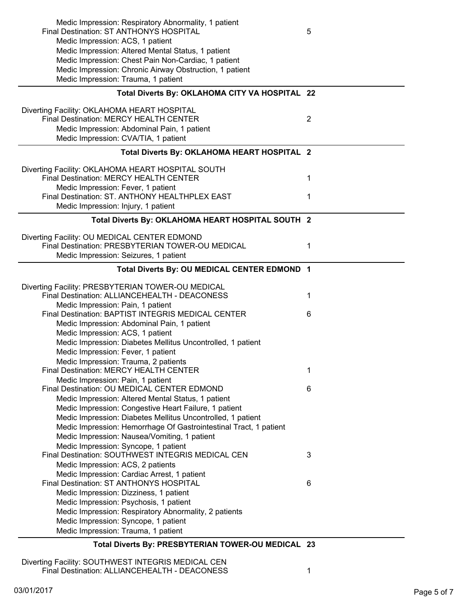| Medic Impression: Respiratory Abnormality, 1 patient                                               |                |
|----------------------------------------------------------------------------------------------------|----------------|
| Final Destination: ST ANTHONYS HOSPITAL                                                            | 5              |
| Medic Impression: ACS, 1 patient                                                                   |                |
| Medic Impression: Altered Mental Status, 1 patient                                                 |                |
| Medic Impression: Chest Pain Non-Cardiac, 1 patient                                                |                |
| Medic Impression: Chronic Airway Obstruction, 1 patient                                            |                |
| Medic Impression: Trauma, 1 patient                                                                |                |
| Total Diverts By: OKLAHOMA CITY VA HOSPITAL 22                                                     |                |
| Diverting Facility: OKLAHOMA HEART HOSPITAL                                                        |                |
| Final Destination: MERCY HEALTH CENTER                                                             | $\overline{2}$ |
| Medic Impression: Abdominal Pain, 1 patient                                                        |                |
| Medic Impression: CVA/TIA, 1 patient                                                               |                |
|                                                                                                    |                |
| Total Diverts By: OKLAHOMA HEART HOSPITAL 2                                                        |                |
| Diverting Facility: OKLAHOMA HEART HOSPITAL SOUTH                                                  |                |
| Final Destination: MERCY HEALTH CENTER                                                             | 1              |
| Medic Impression: Fever, 1 patient                                                                 |                |
| Final Destination: ST. ANTHONY HEALTHPLEX EAST                                                     | 1              |
| Medic Impression: Injury, 1 patient                                                                |                |
| Total Diverts By: OKLAHOMA HEART HOSPITAL SOUTH 2                                                  |                |
| Diverting Facility: OU MEDICAL CENTER EDMOND                                                       |                |
| Final Destination: PRESBYTERIAN TOWER-OU MEDICAL                                                   | 1              |
| Medic Impression: Seizures, 1 patient                                                              |                |
|                                                                                                    |                |
| Total Diverts By: OU MEDICAL CENTER EDMOND 1                                                       |                |
|                                                                                                    |                |
|                                                                                                    |                |
| Diverting Facility: PRESBYTERIAN TOWER-OU MEDICAL<br>Final Destination: ALLIANCEHEALTH - DEACONESS | 1              |
| Medic Impression: Pain, 1 patient                                                                  |                |
| Final Destination: BAPTIST INTEGRIS MEDICAL CENTER                                                 | 6              |
| Medic Impression: Abdominal Pain, 1 patient                                                        |                |
| Medic Impression: ACS, 1 patient                                                                   |                |
| Medic Impression: Diabetes Mellitus Uncontrolled, 1 patient                                        |                |
| Medic Impression: Fever, 1 patient                                                                 |                |
| Medic Impression: Trauma, 2 patients                                                               |                |
| Final Destination: MERCY HEALTH CENTER                                                             | 1              |
| Medic Impression: Pain, 1 patient                                                                  |                |
| Final Destination: OU MEDICAL CENTER EDMOND                                                        | 6              |
| Medic Impression: Altered Mental Status, 1 patient                                                 |                |
| Medic Impression: Congestive Heart Failure, 1 patient                                              |                |
| Medic Impression: Diabetes Mellitus Uncontrolled, 1 patient                                        |                |
| Medic Impression: Hemorrhage Of Gastrointestinal Tract, 1 patient                                  |                |
| Medic Impression: Nausea/Vomiting, 1 patient                                                       |                |
| Medic Impression: Syncope, 1 patient                                                               |                |
| Final Destination: SOUTHWEST INTEGRIS MEDICAL CEN                                                  | 3              |
| Medic Impression: ACS, 2 patients                                                                  |                |
| Medic Impression: Cardiac Arrest, 1 patient                                                        |                |
| Final Destination: ST ANTHONYS HOSPITAL                                                            | 6              |
| Medic Impression: Dizziness, 1 patient                                                             |                |
| Medic Impression: Psychosis, 1 patient                                                             |                |
| Medic Impression: Respiratory Abnormality, 2 patients                                              |                |
| Medic Impression: Syncope, 1 patient                                                               |                |
| Medic Impression: Trauma, 1 patient                                                                |                |

Diverting Facility: SOUTHWEST INTEGRIS MEDICAL CEN Final Destination: ALLIANCEHEALTH - DEACONESS 1